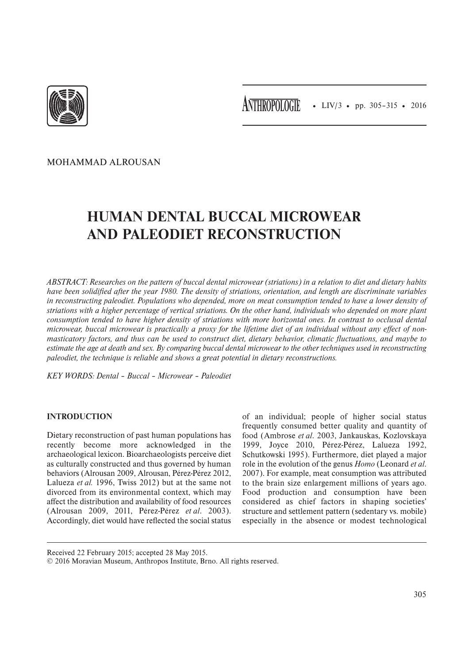

• LIV/3 • pp. 305–315 • 2016 **ANTHROPOLOGIE**

MOHAMMAD ALROUSAN

# **HUMAN DENTAL BUCCAL MICROWEAR AND PALEODIET RECONSTRUCTION**

*ABSTRACT: Researches on the pattern of buccal dental microwear (striations) in a relation to diet and dietary habits have been solidified after the year 1980. The density of striations, orientation, and length are discriminate variables in reconstructing paleodiet. Populations who depended, more on meat consumption tended to have a lower density of striations with a higher percentage of vertical striations. On the other hand, individuals who depended on more plant consumption tended to have higher density of striations with more horizontal ones. In contrast to occlusal dental microwear, buccal microwear is practically a proxy for the lifetime diet of an individual without any effect of nonmasticatory factors, and thus can be used to construct diet, dietary behavior, climatic fluctuations, and maybe to estimate the age at death and sex. By comparing buccal dental microwear to the other techniques used in reconstructing paleodiet, the technique is reliable and shows a great potential in dietary reconstructions.*

*KEY WORDS: Dental ‒ Buccal ‒ Microwear ‒ Paleodiet* 

## **INTRODUCTION**

Dietary reconstruction of past human populations has recently become more acknowledged in the archaeological lexicon. Bioarchaeologists perceive diet as culturally constructed and thus governed by human behaviors (Alrousan 2009, Alrousan, Pérez-Pérez 2012, Lalueza *et al.* 1996, Twiss 2012) but at the same not divorced from its environmental context, which may affect the distribution and availability of food resources (Alrousan 2009, 2011, Pérez-Pérez *et al*. 2003). Accordingly, diet would have reflected the social status

of an individual; people of higher social status frequently consumed better quality and quantity of food (Ambrose *et al*. 2003, Jankauskas, Kozlovskaya 1999, Joyce 2010, Pérez-Pérez, Lalueza 1992, Schutkowski 1995). Furthermore, diet played a major role in the evolution of the genus *Homo* (Leonard *et al*. 2007). For example, meat consumption was attributed to the brain size enlargement millions of years ago. Food production and consumption have been considered as chief factors in shaping societies' structure and settlement pattern (sedentary vs. mobile) especially in the absence or modest technological

Received 22 February 2015; accepted 28 May 2015.

<sup>© 2016</sup> Moravian Museum, Anthropos Institute, Brno. All rights reserved.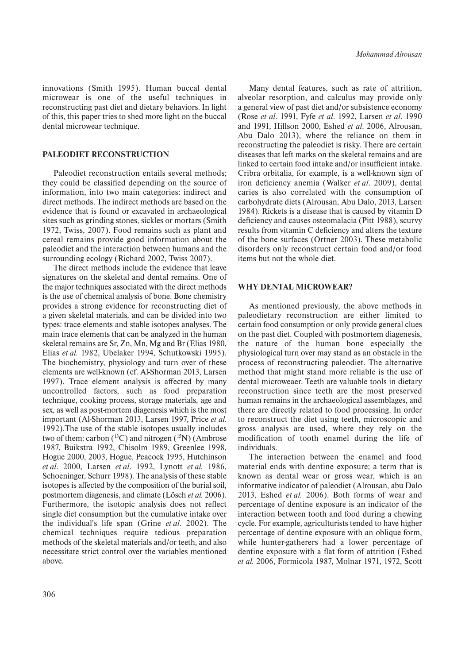innovations (Smith 1995). Human buccal dental microwear is one of the useful techniques in reconstructing past diet and dietary behaviors. In light of this, this paper tries to shed more light on the buccal dental microwear technique.

#### **PALEODIET RECONSTRUCTION**

Paleodiet reconstruction entails several methods; they could be classified depending on the source of information, into two main categories: indirect and direct methods. The indirect methods are based on the evidence that is found or excavated in archaeological sites such as grinding stones, sickles or mortars (Smith 1972, Twiss, 2007). Food remains such as plant and cereal remains provide good information about the paleodiet and the interaction between humans and the surrounding ecology (Richard 2002, Twiss 2007).

The direct methods include the evidence that leave signatures on the skeletal and dental remains. One of the major techniques associated with the direct methods is the use of chemical analysis of bone. Bone chemistry provides a strong evidence for reconstructing diet of a given skeletal materials, and can be divided into two types: trace elements and stable isotopes analyses. The main trace elements that can be analyzed in the human skeletal remains are Sr, Zn, Mn, Mg and Br (Elias 1980, Elias *et al.* 1982, Ubelaker 1994, Schutkowski 1995). The biochemistry, physiology and turn over of these elements are well-known (cf. Al-Shorman 2013, Larsen 1997). Trace element analysis is affected by many uncontrolled factors, such as food preparation technique, cooking process, storage materials, age and sex, as well as post-mortem diagenesis which is the most important (Al-Shorman 2013, Larsen 1997, Price *et al.* 1992).The use of the stable isotopes usually includes two of them: carbon  $(^{13}C)$  and nitrogen  $(^{15}N)$  (Ambrose 1987, Buikstra 1992, Chisolm 1989, Greenlee 1998, Hogue 2000, 2003, Hogue, Peacock 1995, Hutchinson *et al*. 2000, Larsen *et al*. 1992, Lynott *et al.* 1986, Schoeninger, Schurr 1998). The analysis of these stable isotopes is affected by the composition of the burial soil, postmortem diagenesis, and climate (Lösch *et al.* 2006). Furthermore, the isotopic analysis does not reflect single diet consumption but the cumulative intake over the individual's life span (Grine *et al*. 2002). The chemical techniques require tedious preparation methods of the skeletal materials and/or teeth, and also necessitate strict control over the variables mentioned above.

Many dental features, such as rate of attrition, alveolar resorption, and calculus may provide only a general view of past diet and/or subsistence economy (Rose *et al*. 1991, Fyfe *et al*. 1992, Larsen *et al*. 1990 and 1991, Hillson 2000, Eshed *et al*. 2006, Alrousan, Abu Dalo 2013), where the reliance on them in reconstructing the paleodiet is risky. There are certain diseases that left marks on the skeletal remains and are linked to certain food intake and/or insufficient intake. Cribra orbitalia, for example, is a well-known sign of iron deficiency anemia (Walker *et al*. 2009), dental caries is also correlated with the consumption of carbohydrate diets (Alrousan, Abu Dalo, 2013, Larsen 1984). Rickets is a disease that is caused by vitamin D deficiency and causes osteomalacia (Pitt 1988), scurvy results from vitamin C deficiency and alters the texture of the bone surfaces (Ortner 2003). These metabolic disorders only reconstruct certain food and/or food items but not the whole diet.

#### **WHY DENTAL MICROWEAR?**

As mentioned previously, the above methods in paleodietary reconstruction are either limited to certain food consumption or only provide general clues on the past diet. Coupled with postmortem diagenesis, the nature of the human bone especially the physiological turn over may stand as an obstacle in the process of reconstructing paleodiet. The alternative method that might stand more reliable is the use of dental microweaer. Teeth are valuable tools in dietary reconstruction since teeth are the most preserved human remains in the archaeological assemblages, and there are directly related to food processing. In order to reconstruct the diet using teeth, microscopic and gross analysis are used, where they rely on the modification of tooth enamel during the life of individuals.

The interaction between the enamel and food material ends with dentine exposure; a term that is known as dental wear or gross wear, which is an informative indicator of paleodiet (Alrousan, abu Dalo 2013, Eshed *et al.* 2006). Both forms of wear and percentage of dentine exposure is an indicator of the interaction between tooth and food during a chewing cycle. For example, agriculturists tended to have higher percentage of dentine exposure with an oblique form, while hunter-gatherers had a lower percentage of dentine exposure with a flat form of attrition (Eshed *et al.* 2006, Formicola 1987, Molnar 1971, 1972, Scott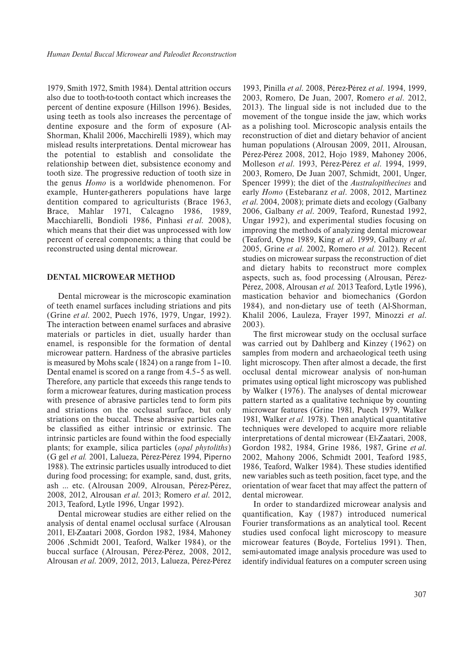1979, Smith 1972, Smith 1984). Dental attrition occurs also due to tooth-to-tooth contact which increases the percent of dentine exposure (Hillson 1996). Besides, using teeth as tools also increases the percentage of dentine exposure and the form of exposure (Al-Shorman, Khalil 2006, Macchirelli 1989), which may mislead results interpretations. Dental microwear has the potential to establish and consolidate the relationship between diet, subsistence economy and tooth size. The progressive reduction of tooth size in the genus *Homo* is a worldwide phenomenon. For example, Hunter-gatherers populations have large dentition compared to agriculturists (Brace 1963, Brace, Mahlar 1971, Calcagno 1986, 1989, Macchiarelli, Bondioli 1986, Pinhasi *et al*. 2008), which means that their diet was unprocessed with low percent of cereal components; a thing that could be reconstructed using dental microwear.

#### **DENTAL MICROWEAR METHOD**

Dental microwear is the microscopic examination of teeth enamel surfaces including striations and pits (Grine *et al*. 2002, Puech 1976, 1979, Ungar, 1992). The interaction between enamel surfaces and abrasive materials or particles in diet, usually harder than enamel, is responsible for the formation of dental microwear pattern. Hardness of the abrasive particles is measured by Mohs scale (1824) on a range from 1–10. Dental enamel is scored on a range from 4.5–5 as well. Therefore, any particle that exceeds this range tends to form a microwear features, during mastication process with presence of abrasive particles tend to form pits and striations on the occlusal surface, but only striations on the buccal. These abrasive particles can be classified as either intrinsic or extrinsic. The intrinsic particles are found within the food especially plants; for example, silica particles (*opal phytoliths*) (G gel *et al.* 2001, Lalueza, Pérez-Pérez 1994, Piperno 1988). The extrinsic particles usually introduced to diet during food processing; for example, sand, dust, grits, ash … etc. (Alrousan 2009, Alrousan, Pérez-Pérez, 2008, 2012, Alrousan *et al*. 2013; Romero *et al*. 2012, 2013, Teaford, Lytle 1996, Ungar 1992).

Dental microwear studies are either relied on the analysis of dental enamel occlusal surface (Alrousan 2011, El-Zaatari 2008, Gordon 1982, 1984, Mahoney 2006 ,Schmidt 2001, Teaford, Walker 1984), or the buccal surface (Alrousan, Pérez-Pérez, 2008, 2012, Alrousan *et al*. 2009, 2012, 2013, Lalueza, Pérez-Pérez

1993, Pinilla *et al*. 2008, Pérez-Pérez *et al*. 1994, 1999, 2003, Romero, De Juan, 2007, Romero *et al*. 2012, 2013). The lingual side is not included due to the movement of the tongue inside the jaw, which works as a polishing tool. Microscopic analysis entails the reconstruction of diet and dietary behavior of ancient human populations (Alrousan 2009, 2011, Alrousan, Pérez-Pérez 2008, 2012, Hojo 1989, Mahoney 2006, Molleson *et al*. 1993, Pérez-Pérez *et al*. 1994, 1999, 2003, Romero, De Juan 2007, Schmidt, 2001, Unger, Spencer 1999); the diet of the *Australopithecines* and early *Homo* (Estebaranz *et al*. 2008, 2012, Martinez *et al*. 2004, 2008); primate diets and ecology (Galbany 2006, Galbany *et al*. 2009, Teaford, Runestad 1992, Ungar 1992), and experimental studies focusing on improving the methods of analyzing dental microwear (Teaford, Oyne 1989, King *et al*. 1999, Galbany *et al*. 2005, Grine *et al*. 2002, Romero *et al.* 2012). Recent studies on microwear surpass the reconstruction of diet and dietary habits to reconstruct more complex aspects, such as, food processing (Alrousan, Pérez-Pérez, 2008, Alrousan *et al.* 2013 Teaford, Lytle 1996), mastication behavior and biomechanics (Gordon 1984), and non-dietary use of teeth (Al-Shorman, Khalil 2006, Lauleza, Frayer 1997, Minozzi *et al*. 2003).

The first microwear study on the occlusal surface was carried out by Dahlberg and Kinzey (1962) on samples from modern and archaeological teeth using light microscopy. Then after almost a decade, the first occlusal dental microwear analysis of non-human primates using optical light microscopy was published by Walker (1976). The analyses of dental microwear pattern started as a qualitative technique by counting microwear features (Grine 1981, Puech 1979, Walker 1981, Walker *et al.* 1978). Then analytical quantitative techniques were developed to acquire more reliable interpretations of dental microwear (El-Zaatari, 2008, Gordon 1982, 1984, Grine 1986, 1987, Grine *et al*. 2002, Mahony 2006, Schmidt 2001, Teaford 1985, 1986, Teaford, Walker 1984). These studies identified new variables such as teeth position, facet type, and the orientation of wear facet that may affect the pattern of dental microwear.

In order to standardized microwear analysis and quantification, Kay (1987) introduced numerical Fourier transformations as an analytical tool. Recent studies used confocal light microscopy to measure microwear features (Boyde, Fortelius 1991). Then, semi-automated image analysis procedure was used to identify individual features on a computer screen using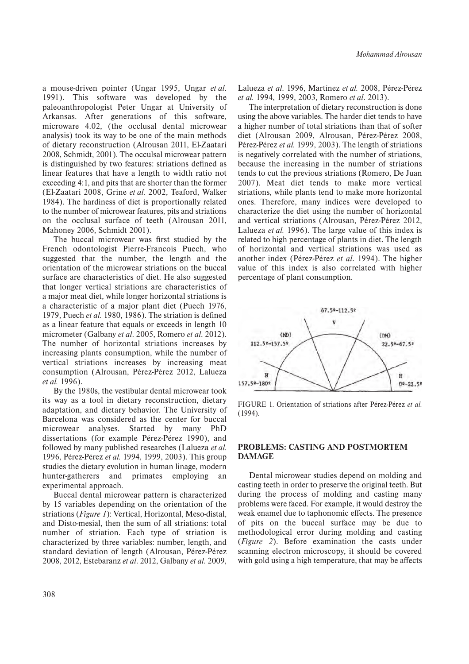a mouse-driven pointer (Ungar 1995, Ungar *et al*. 1991). This software was developed by the paleoanthropologist Peter Ungar at University of Arkansas. After generations of this software, microware 4.02, (the occlusal dental microwear analysis) took its way to be one of the main methods of dietary reconstruction (Alrousan 2011, El-Zaatari 2008, Schmidt, 2001). The occulsal microwear pattern is distinguished by two features: striations defined as linear features that have a length to width ratio not exceeding 4:1, and pits that are shorter than the former (El-Zaatari 2008, Grine *et al.* 2002, Teaford, Walker 1984). The hardiness of diet is proportionally related to the number of microwear features, pits and striations on the occlusal surface of teeth (Alrousan 2011, Mahoney 2006, Schmidt 2001).

The buccal microwear was first studied by the French odontologist Pierre-Francois Puech, who suggested that the number, the length and the orientation of the microwear striations on the buccal surface are characteristics of diet. He also suggested that longer vertical striations are characteristics of a major meat diet, while longer horizontal striations is a characteristic of a major plant diet (Puech 1976, 1979, Puech *et al.* 1980, 1986). The striation is defined as a linear feature that equals or exceeds in length 10 micrometer (Galbany *et al*. 2005, Romero *et al*. 2012). The number of horizontal striations increases by increasing plants consumption, while the number of vertical striations increases by increasing meat consumption (Alrousan, Pérez-Pérez 2012, Lalueza *et al.* 1996).

By the 1980s, the vestibular dental microwear took its way as a tool in dietary reconstruction, dietary adaptation, and dietary behavior. The University of Barcelona was considered as the center for buccal microwear analyses. Started by many PhD dissertations (for example Pérez-Pérez 1990), and followed by many published researches (Lalueza *et al.* 1996, Pérez-Pérez *et al.* 1994, 1999, 2003). This group studies the dietary evolution in human linage, modern hunter-gatherers and primates employing an experimental approach.

Buccal dental microwear pattern is characterized by 15 variables depending on the orientation of the striations (*Figure 1*): Vertical, Horizontal, Meso-distal, and Disto-mesial, then the sum of all striations: total number of striation. Each type of striation is characterized by three variables: number, length, and standard deviation of length (Alrousan, Pérez-Pérez 2008, 2012, Estebaranz *et al*. 2012, Galbany *et al*. 2009,

Lalueza *et al*. 1996, Martínez *et al.* 2008, Pérez-Pérez *et al.* 1994, 1999, 2003, Romero *et al*. 2013).

The interpretation of dietary reconstruction is done using the above variables. The harder diet tends to have a higher number of total striations than that of softer diet (Alrousan 2009, Alrousan, Pérez-Pérez 2008, Pérez-Pérez *et al.* 1999, 2003). The length of striations is negatively correlated with the number of striations, because the increasing in the number of striations tends to cut the previous striations (Romero, De Juan 2007). Meat diet tends to make more vertical striations, while plants tend to make more horizontal ones. Therefore, many indices were developed to characterize the diet using the number of horizontal and vertical striations (Alrousan, Pérez-Pérez 2012, Lalueza *et al.* 1996). The large value of this index is related to high percentage of plants in diet. The length of horizontal and vertical striations was used as another index (Pérez-Pérez *et al*. 1994). The higher value of this index is also correlated with higher percentage of plant consumption.



FIGURE 1. Orientation of striations after Pérez-Pérez *et al.* (1994).

#### **PROBLEMS: CASTING AND POSTMORTEM DAMAGE**

Dental microwear studies depend on molding and casting teeth in order to preserve the original teeth. But during the process of molding and casting many problems were faced. For example, it would destroy the weak enamel due to taphonomic effects. The presence of pits on the buccal surface may be due to methodological error during molding and casting (*Figure 2*). Before examination the casts under scanning electron microscopy, it should be covered with gold using a high temperature, that may be affects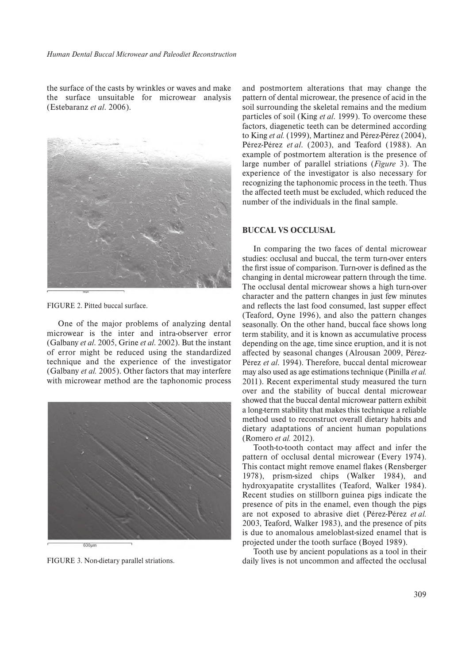the surface of the casts by wrinkles or waves and make the surface unsuitable for microwear analysis (Estebaranz *et al*. 2006).



FIGURE 2. Pitted buccal surface.

One of the major problems of analyzing dental microwear is the inter and intra-observer error (Galbany *et al*. 2005, Grine *et al*. 2002). But the instant of error might be reduced using the standardized technique and the experience of the investigator (Galbany *et al.* 2005). Other factors that may interfere with microwear method are the taphonomic process



FIGURE 3. Non-dietary parallel striations.

and postmortem alterations that may change the pattern of dental microwear, the presence of acid in the soil surrounding the skeletal remains and the medium particles of soil (King *et al*. 1999). To overcome these factors, diagenetic teeth can be determined according to King *et al.* (1999), Martínez and Pérez-Pérez (2004), Pérez-Pérez *et al*. (2003), and Teaford (1988). An example of postmortem alteration is the presence of large number of parallel striations (*Figure* 3). The experience of the investigator is also necessary for recognizing the taphonomic process in the teeth. Thus the affected teeth must be excluded, which reduced the number of the individuals in the final sample.

### **BUCCAL VS OCCLUSAL**

In comparing the two faces of dental microwear studies: occlusal and buccal, the term turn-over enters the first issue of comparison. Turn-over is defined as the changing in dental microwear pattern through the time. The occlusal dental microwear shows a high turn-over character and the pattern changes in just few minutes and reflects the last food consumed, last supper effect (Teaford, Oyne 1996), and also the pattern changes seasonally. On the other hand, buccal face shows long term stability, and it is known as accumulative process depending on the age, time since eruption, and it is not affected by seasonal changes (Alrousan 2009, Pérez-Pérez *et al*. 1994). Therefore, buccal dental microwear may also used as age estimations technique (Pinilla *et al.* 2011). Recent experimental study measured the turn over and the stability of buccal dental microwear showed that the buccal dental microwear pattern exhibit a long-term stability that makes this technique a reliable method used to reconstruct overall dietary habits and dietary adaptations of ancient human populations (Romero *et al.* 2012).

Tooth-to-tooth contact may affect and infer the pattern of occlusal dental microwear (Every 1974). This contact might remove enamel flakes (Rensberger 1978), prism-sized chips (Walker 1984), and hydroxyapatite crystallites (Teaford, Walker 1984). Recent studies on stillborn guinea pigs indicate the presence of pits in the enamel, even though the pigs are not exposed to abrasive diet (Pérez-Pérez *et al.* 2003, Teaford, Walker 1983), and the presence of pits is due to anomalous ameloblast-sized enamel that is projected under the tooth surface (Boyed 1989).

Tooth use by ancient populations as a tool in their daily lives is not uncommon and affected the occlusal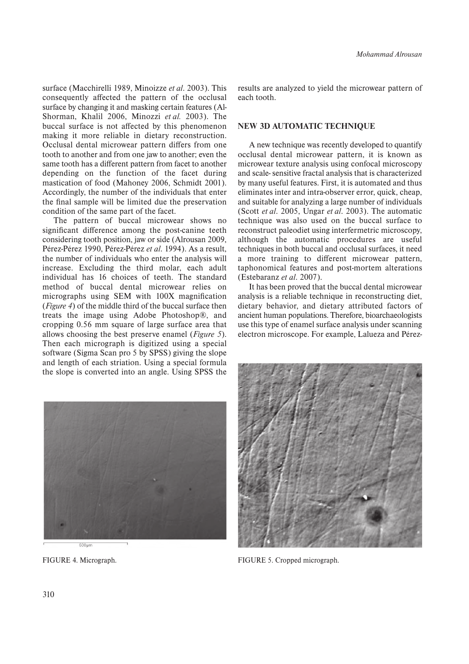surface (Macchirelli 1989, Minoizze *et al*. 2003). This consequently affected the pattern of the occlusal surface by changing it and masking certain features (Al-Shorman, Khalil 2006, Minozzi *et al.* 2003). The buccal surface is not affected by this phenomenon making it more reliable in dietary reconstruction. Occlusal dental microwear pattern differs from one tooth to another and from one jaw to another; even the same tooth has a different pattern from facet to another depending on the function of the facet during mastication of food (Mahoney 2006, Schmidt 2001). Accordingly, the number of the individuals that enter the final sample will be limited due the preservation condition of the same part of the facet.

The pattern of buccal microwear shows no significant difference among the post-canine teeth considering tooth position, jaw or side (Alrousan 2009, Pérez-Pérez 1990, Pérez-Pérez *et al*. 1994). As a result, the number of individuals who enter the analysis will increase. Excluding the third molar, each adult individual has 16 choices of teeth. The standard method of buccal dental microwear relies on micrographs using SEM with 100X magnification (*Figure 4*) of the middle third of the buccal surface then treats the image using Adobe Photoshop®, and cropping 0.56 mm square of large surface area that allows choosing the best preserve enamel (*Figure 5*). Then each micrograph is digitized using a special software (Sigma Scan pro 5 by SPSS) giving the slope and length of each striation. Using a special formula the slope is converted into an angle. Using SPSS the

results are analyzed to yield the microwear pattern of each tooth.

#### **NEW 3D AUTOMATIC TECHNIQUE**

A new technique was recently developed to quantify occlusal dental microwear pattern, it is known as microwear texture analysis using confocal microscopy and scale- sensitive fractal analysis that is characterized by many useful features. First, it is automated and thus eliminates inter and intra-observer error, quick, cheap, and suitable for analyzing a large number of individuals (Scott *et al*. 2005, Ungar *et al*. 2003). The automatic technique was also used on the buccal surface to reconstruct paleodiet using interfermetric microscopy, although the automatic procedures are useful techniques in both buccal and occlusal surfaces, it need a more training to different microwear pattern, taphonomical features and post-mortem alterations (Estebaranz *et al*. 2007).

It has been proved that the buccal dental microwear analysis is a reliable technique in reconstructing diet, dietary behavior, and dietary attributed factors of ancient human populations. Therefore, bioarchaeologists use this type of enamel surface analysis under scanning electron microscope. For example, Lalueza and Pérez-





FIGURE 4. Micrograph. FIGURE 5. Cropped micrograph.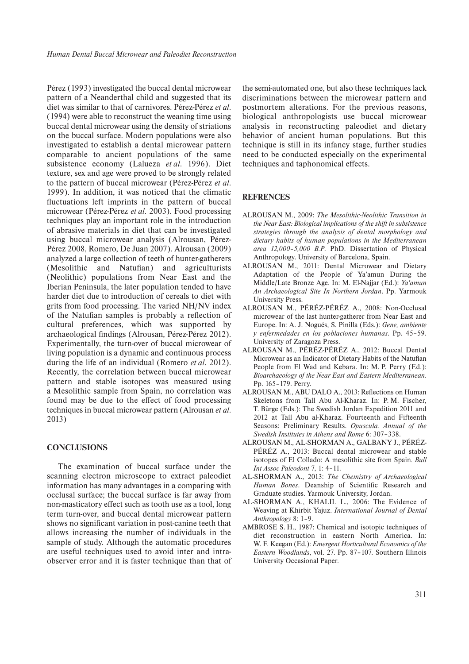Pérez (1993) investigated the buccal dental microwear pattern of a Neanderthal child and suggested that its diet was similar to that of carnivores. Pérez-Pérez *et al*. (1994) were able to reconstruct the weaning time using buccal dental microwear using the density of striations on the buccal surface. Modern populations were also investigated to establish a dental microwear pattern comparable to ancient populations of the same subsistence economy (Lalueza *et al*. 1996). Diet texture, sex and age were proved to be strongly related to the pattern of buccal microwear (Pérez-Pérez *et al*. 1999). In addition, it was noticed that the climatic fluctuations left imprints in the pattern of buccal microwear (Pérez-Pérez *et al*. 2003). Food processing techniques play an important role in the introduction of abrasive materials in diet that can be investigated using buccal microwear analysis (Alrousan, Pérez-Pérez 2008, Romero, De Juan 2007). Alrousan (2009) analyzed a large collection of teeth of hunter-gatherers (Mesolithic and Natufian) and agriculturists (Neolithic) populations from Near East and the Iberian Peninsula, the later population tended to have harder diet due to introduction of cereals to diet with grits from food processing. The varied NH/NV index of the Natufian samples is probably a reflection of cultural preferences, which was supported by archaeological findings (Alrousan, Pérez-Pérez 2012). Experimentally, the turn-over of buccal microwear of living population is a dynamic and continuous process during the life of an individual (Romero *et al*. 2012). Recently, the correlation between buccal microwear pattern and stable isotopes was measured using a Mesolithic sample from Spain, no correlation was found may be due to the effect of food processing techniques in buccal microwear pattern (Alrousan *et al*. 2013)

#### **CONCLUSIONS**

The examination of buccal surface under the scanning electron microscope to extract paleodiet information has many advantages in a comparing with occlusal surface; the buccal surface is far away from non-masticatory effect such as tooth use as a tool, long term turn-over, and buccal dental microwear pattern shows no significant variation in post-canine teeth that allows increasing the number of individuals in the sample of study. Although the automatic procedures are useful techniques used to avoid inter and intraobserver error and it is faster technique than that of the semi-automated one, but also these techniques lack discriminations between the microwear pattern and postmortem alterations. For the previous reasons, biological anthropologists use buccal microwear analysis in reconstructing paleodiet and dietary behavior of ancient human populations. But this technique is still in its infancy stage, further studies need to be conducted especially on the experimental techniques and taphonomical effects.

#### **REFRENCES**

- ALROUSAN M., 2009: *The Mesolithic-Neolithic Transition in the Near East: Biological implications of the shift in subsistence strategies through the analysis of dental morphology and dietary habits of human populations in the Mediterranean area 12,000–5,000 B.P*. PhD. Dissertation of Physical Anthropology. University of Barcelona, Spain.
- ALROUSAN M., 2011: Dental Microwear and Dietary Adaptation of the People of Ya'amun During the Middle/Late Bronze Age. In: M. El-Najjar (Ed.): *Ya'amun An Archaeological Site In Northern Jordan*. Pp. Yarmouk University Press.
- ALROUSAN M., PÉRÉZ-PÉRÉZ A., 2008: Non-Occlusal microwear of the last hunter-gatherer from Near East and Europe. In: A. J. Nogués, S. Pinilla (Eds.): *Gene, ambiente y enfermedades en los poblaciones humanas*. Pp. 45‒59. University of Zaragoza Press.
- ALROUSAN M., PÉRÉZ-PÉRÉZ A., 2012: Buccal Dental Microwear as an Indicator of Dietary Habits of the Natufian People from El Wad and Kebara. In: M. P. Perry (Ed.): *Bioarchaeology of the Near East and Eastern Mediterranean.* Pp. 165-179. Perry.
- ALROUSAN M., ABU DALO A., 2013: Reflections on Human Skeletons from Tall Abu Al-Kharaz. In: P. M. Fischer, T. Bürge (Eds.): The Swedish Jordan Expedition 2011 and 2012 at Tall Abu al-Kharaz. Fourteenth and Fifteenth Seasons: Preliminary Results. *Opuscula. Annual of the Swedish Institutes in Athens and Rome* 6: 307‒338.
- ALROUSAN M., AL-SHORMAN A., GALBANY J., PÉRÉZ-PÉRÉZ A., 2013: Buccal dental microwear and stable isotopes of El Collado: A mesolithic site from Spain*. Bull Int Assoc Paleodont* 7, 1: 4‒11*.*
- AL-SHORMAN A., 2013: *The Chemistry of Archaeological Human Bones*. Deanship of Scientific Research and Graduate studies. Yarmouk University, Jordan.
- AL-SHORMAN A., KHALIL L., 2006: The Evidence of Weaving at Khirbit Yajuz. *International Journal of Dental Anthropology* 8: 1‒9.
- AMBROSE S. H., 1987: Chemical and isotopic techniques of diet reconstruction in eastern North America. In: W. F. Keegan (Ed*.*): *Emergent Horticultural Economics of the* Eastern Woodlands, vol. 27. Pp. 87-107. Southern Illinois University Occasional Paper.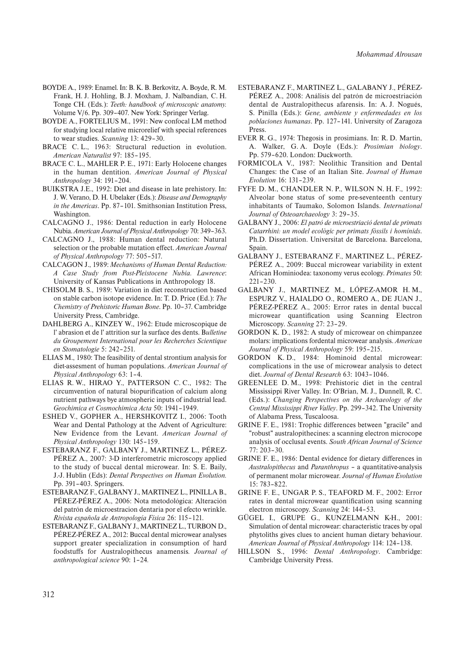- BOYDE A., 1989: Enamel. In: B. K. B. Berkovitz, A. Boyde, R. M. Frank, H. J. Hohling, B. J. Moxham, J. Nalbandian, C. H. Tonge CH. (Eds.): *Teeth: handbook of microscopic anatomy.* Volume V/6. Pp. 309–407. New York: Springer Verlag.
- BOYDE A., FORTELIUS M., 1991: New confocal LM method for studying local relative microrelief with special references to wear studies. *Scanning* 13: 429–30.
- BRACE C.L., 1963: Structural reduction in evolution. *American Naturalist* 97: 185–195.
- BRACE C. L., MAHLER P. E., 1971: Early Holocene changes in the human dentition. *American Journal of Physical Anthropology* 34: 191–204.
- BUIKSTRA J.E., 1992: Diet and disease in late prehistory. In: J. W. Verano, D. H. Ubelaker (Eds.): *Disease and Demography in the Americas*. Pp. 87–101. Smithsonian Institution Press, Washington.
- CALCAGNO J., 1986: Dental reduction in early Holocene Nubia. *American Journal of Physical Anthropology* 70: 349–363.
- CALCAGNO J., 1988: Human dental reduction: Natural selection or the probable mutation effect. *American Journal of Physical Anthropology* 77: 505–517.
- CALCAGON J., 1989: *Mechanisms of Human Dental Reduction: A Case Study from Post-Pleistocene Nubia. Lawrence*: University of Kansas Publications in Anthropology 18.
- CHISOLM B. S., 1989: Variation in diet reconstruction based on stable carbon isotope evidence. In: T. D. Price (Ed.): *The Chemistry of Prehistoric Human Bone*. Pp. 10‒37. Cambridge University Press, Cambridge.
- DAHLBERG A., KINZEY W., 1962: Etude microscopique de l' abrasion et de l' attrition sur la surface des dents. B*ulletine du Groupement International pour les Recherches Scientique en Stomatologie* 5: 242‒251.
- ELIAS M., 1980: The feasibility of dental strontium analysis for diet-assesment of human populations. *American Journal of Physical Anthropology* 63: 1‒4.
- ELIAS R. W., HIRAO Y., PATTERSON C. C., 1982: The circumvention of natural biopurification of calcium along nutrient pathways bye atmospheric inputs of industrial lead. Geochimica et Cosmochimica Acta 50: 1941-1949.
- ESHED V., GOPHER A., HERSHKOVITZ I., 2006: Tooth Wear and Dental Pathology at the Advent of Agriculture: New Evidence from the Levant. *American Journal of Physical Anthropology* 130: 145-159.
- ESTEBARANZ F., GALBANY J., MARTINEZ L., PÉREZ-PÉREZ A., 2007: 3-D interferometric microscopy applied to the study of buccal dental microwear. In: S. E. Baily, J.-J. Hublin (Eds): *Dental Perspectives on Human Evolution.* Pp. 391‒403. Springers.
- ESTEBARANZ F., GALBANY J., MARTINEZ L., PINILLA B., PÉREZ-PÉREZ A., 2006: Nota metodológica: Alteración del patrón de microestracion dentaria por el efecto wrinkle. *Rivista española de Antropología Física* 26: 115‒121.
- ESTEBARANZ F., GALBANY J., MARTINEZ L., TURBON D., PÉREZ-PÉREZ A., 2012: Buccal dental microwear analyses support greater specialization in consumption of hard foodstuffs for Australopithecus anamensis*. Journal of anthropological science* 90: 1‒24*.*
- ESTEBARANZ F., MARTINEZ L., GALABANY J., PÉREZ-PÉREZ A., 2008: Análisis del patrón de microestriación dental de Australopithecus afarensis. In: A. J. Nogués, S. Pinilla (Eds.): *Gene, ambiente y enfermedades en los poblaciones humanas*. Pp. 127‒141. University of Zaragoza Press.
- EVER R. G., 1974: Thegosis in prosimians. In: R. D. Martin, A. Walker, G. A. Doyle (Eds.): *Prosimian biology*. Pp. 579-620. London: Duckworth.
- FORMICOLA V., 1987: Neolithic Transition and Dental Changes: the Case of an Italian Site. *Journal of Human Evolution* 16: 131‒239.
- FYFE D. M., CHANDLER N. P., WILSON N. H. F., 1992: Alveolar bone status of some pre-seventeenth century inhabitants of Taumako, Solomon Islands. *International* Journal of Osteoarchaeology 3: 29-35.
- GALBANY J., 2006: *El patró de microestriació dental de primats Catarrhini: un model ecològic per primats fòssils i homínids*. Ph.D. Dissertation. Universitat de Barcelona. Barcelona, Spain.
- GALBANY J., ESTEBARANZ F., MARTINEZ L., PÉREZ-PÉREZ A., 2009: Buccal microwear variability in extent African Hominiodea: taxonomy verus ecology. *Primates* 50:  $221 - 230$ .
- GALBANY J., MARTINEZ M., LÓPEZ-AMOR H. M., ESPURZ V., HAIALDO O., ROMERO A., DE JUAN J., PÉREZ-PÉREZ A., 2005: Error rates in dental buccal microwear quantification using Scanning Electron Microscopy. *Scanning* 27: 23-29.
- GORDON K. D., 1982: A study of microwear on chimpanzee molars: implications fordental microwear analysis. *American Journal of Physical Anthropology* 59: 195–215.
- GORDON K. D., 1984: Hominoid dental microwear: complications in the use of microwear analysis to detect diet. *Journal of Dental Research* 63: 1043–1046.
- GREENLEE D. M., 1998: Prehistoric diet in the central Mississippi River Valley. In: O'Brian, M. J., Dunnell, R. C. (Eds.): *Changing Perspectives on the Archaeology of the Central Mississippi River Valley*. Pp. 299–342. The University of Alabama Press, Tuscaloosa.
- GRINE F. E., 1981: Trophic differences between "gracile" and "robust" australopithecines: a scanning electron microcope analysis of occlusal events. *South African Journal of Science* 77: 203–30.
- GRINE F. E., 1986: Dental evidence for dietary differences in *Australopithecus* and *Paranthropus* – a quantitative-analysis of permanent molar microwear. *Journal of Human Evolution* 15: 783–822.
- GRINE F. E., UNGAR P. S., TEAFORD M. F., 2002: Error rates in dental microwear quantification using scanning electron microscopy. *Scanning* 24: 144–53.
- GÜGEL I., GRUPE G., KUNZELMANN K-H., 2001: Simulation of dental microwear: characteristic traces by opal phytoliths gives clues to ancient human dietary behaviour. *American Journal of Physical Anthropology* 114: 124‒138.
- HILLSON S., 1996: *Dental Anthropology*. Cambridge: Cambridge University Press.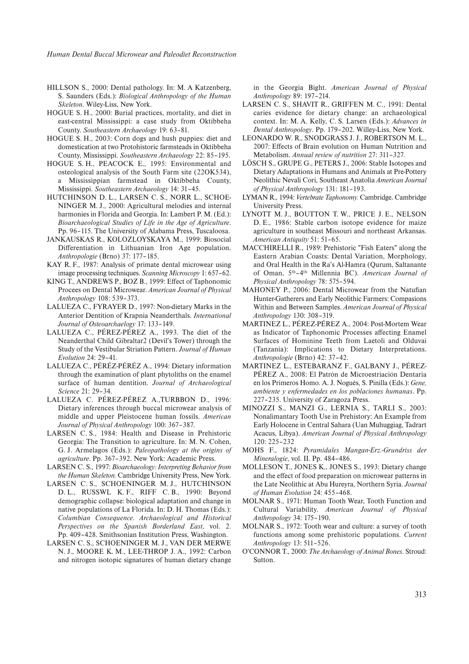*Human Dental Buccal Microwear and Paleodiet Reconstruction*

- HILLSON S., 2000: Dental pathology. In: M. A Katzenberg, S. Saunders (Eds.): *Biological Anthropology of the Human Skeleton*. Wiley-Liss, New York.
- HOGUE S. H., 2000: Burial practices, mortality, and diet in east-central Mississippi: a case study from Oktibbeha County. Southeastern Archaeology 19: 63-81.
- HOGUE S. H., 2003: Corn dogs and hush puppies: diet and domestication at two Protohistoric farmsteads in Oktibbeha County, Mississippi. *Southeastern Archaeology* 22: 85-195.
- HOGUE S. H., PEACOCK E., 1995: Environmental and osteological analysis of the South Farm site (22OK534), a Mississippian farmstead in Oktibbeha County, Mississippi. *Southeastern Archaeology* 14: 31‒45.
- HUTCHINSON D. L., LARSEN C. S., NORR L., SCHOE-NINGER M. J., 2000: Agricultural melodies and internal harmonies in Florida and Georgia. In: Lambert P. M. (Ed.): *Bioarchaeological Studies of Life in the Age of Agriculture*. Pp. 96-115. The University of Alabama Press, Tuscaloosa.
- JANKAUSKAS R., KOLOZLOYSKAYA M., 1999: Biosocial Differentiation in Lithuanian Iron Age population. *Anthropologie* (Brno) 37: 177‒185.
- KAY R. F., 1987: Analysis of primate dental microwear using image processing techniques. *Scanning Microscopy* 1: 657–62.
- KING T., ANDREWS P., BOZ B., 1999: Effect of Taphonomic Procees on Dental Microwear. *American Journal of Physical Anthropology* 108: 539‒373.
- LALUEZA C., FYRAYER D., 1997: Non-dietary Marks in the Anterior Dentition of Krapnia Neanderthals. *International* Journal of Osteoarchaelogy 17: 133-149.
- LALUEZA C., PÉREZ-PÉREZ A., 1993. The diet of the Neanderthal Child Gibraltar2 (Devil's Tower) through the Study of the Vestibular Striation Pattern. *Journal of Human Evolution* 24: 29‒41.
- LALUEZA C., PÉRÉZ-PÉRÉZ A., 1994: Dietary information through the examination of plant phytoliths on the enamel surface of human dentition. *Journal of Archaeological Science* 21: 29‒34.
- LALUEZA C. PÉREZ-PÉREZ A.,TURBBON D., 1996: Dietary inferences through buccal microwear analysis of middle and upper Pleistocene human fossils. *American Journal of Physical Anthropology* 100: 367‒387.
- LARSEN C. S., 1984: Health and Disease in Prehistoric Georgia: The Transition to agriculture. In: M. N. Cohen, G. J. Armelagos (Eds.): *Paleopathology at the origins of* agriculture. Pp. 367-392. New York: Academic Press.
- LARSEN C. S., 1997: *Bioarchaeology: Interpreting Behavior from the Human Skeleton.* Cambridge University Press, New York.
- LARSEN C. S., SCHOENINGER M. J., HUTCHINSON D. L., RUSSWL K. F., RIFF C. B., 1990: Beyond demographic collapse: biological adaptation and change in native populations of La Florida. In: D. H. Thomas (Eds.): *Columbian Consequence. Archaeological and Historical Perspectives on the Spanish Borderland East*, vol. 2. Pp. 409-428. Smithsonian Institution Press, Washington.
- LARSEN C. S., SCHOENINGER M. J., VAN DER MERWE N. J., MOORE K. M., LEE-THROP J. A., 1992: Carbon and nitrogen isotopic signatures of human dietary change

in the Georgia Bight. *American Journal of Physical Anthropology* 89: 197‒214.

- LARSEN C. S., SHAVIT R., GRIFFEN M. C., 1991: Dental caries evidence for dietary change: an archaeological context. In: M. A. Kelly, C. S. Larsen (Eds.): *Advances in Dental Anthropology*. Pp. 179‒202. Willey-Liss, New York.
- LEONARDO W. R., SNODGRASS J. J., ROBERTSON M. L., 2007: Effects of Brain evolution on Human Nutrition and Metabolism. *Annual review of nutrition* 27: 311-327.
- LÖSCH S., GRUPE G., PETERS J., 2006: Stable Isotopes and Dietary Adaptations in Humans and Animals at Pre-Pottery Neolithic Nevali Cori, Southeast Anatolia *American Journal of Physical Anthropology* 131: 181‒193.
- LYMAN R., 1994: *Vertebrate Taphonomy.* Cambridge. Cambridge University Press.
- LYNOTT M. J., BOUTTON T. W., PRICE J. E., NELSON D. E., 1986: Stable carbon isotope evidence for maize agriculture in southeast Missouri and northeast Arkansas. *American Antiquity* 51: 51‒65.
- MACCHIRELLI R., 1989: Prehistoric "Fish Eaters" along the Eastern Arabian Coasts: Dental Variation, Morphology, and Oral Health in the Ra's Al-Hamra (Qurum, Saltanante of Oman, 5th–4th Millennia BC). *American Journal of* Physical Anthropology 78: 575-594.
- MAHONEY P., 2006: Dental Microwear from the Natufian Hunter-Gatherers and Early Neolithic Farmers: Compasions Within and Between Samples. *American Journal of Physical Anthropology* 130: 308‒319.
- MARTINEZ L., PÉREZ-PÉREZ A., 2004: Post-Mortem Wear as Indicator of Taphonomic Processes affecting Enamel Surfaces of Hominine Teeth from Laetoli and Olduvai (Tanzania): Implications to Dietary Interpretations. *Anthropologie* (Brno) 42: 37‒42.
- MARTINEZ L., ESTEBARANZ F., GALBANY J., PÉREZ-PÉREZ A., 2008: El Patrón de Microestriación Dentaria en los Primeros Homo. A. J. Nogués, S. Pinilla (Eds.): *Gene, ambiente y enfermedades en los poblaciones humanas*. Pp. 227‒235. University of Zaragoza Press.
- MINOZZI S., MANZI G., LERNIA S., TARLI S., 2003: Nonalimantary Tooth Use in Prehistory: An Example from Early Holocene in Central Sahara (Uan Muhuggiag, Tadrart Acacus, Libya). *American Journal of Physical Anthropology* 120: 225‒232
- MOHS F., 1824: *Pyramidales Mangan-Erz.-Grundriss der Mineralogie*, vol. II. Pp. 484-486.
- MOLLESON T., JONES K., JONES S., 1993: Dietary change and the effect of food preparation on microwear patterns in the Late Neolithic at Abu Hureyra, Northern Syria. *Journal of Human Evolution* 24: 455‒468.
- MOLNAR S., 1971: Human Tooth Wear, Tooth Function and Cultural Variability. *American Journal of Physical Anthropology* 34: 175‒190.
- MOLNAR S., 1972: Tooth wear and culture: a survey of tooth functions among some prehistoric populations. *Current Anthropology* 13: 511‒526.
- O'CONNOR T., 2000: *The Archaeology of Animal Bones*. Stroud: Sutton.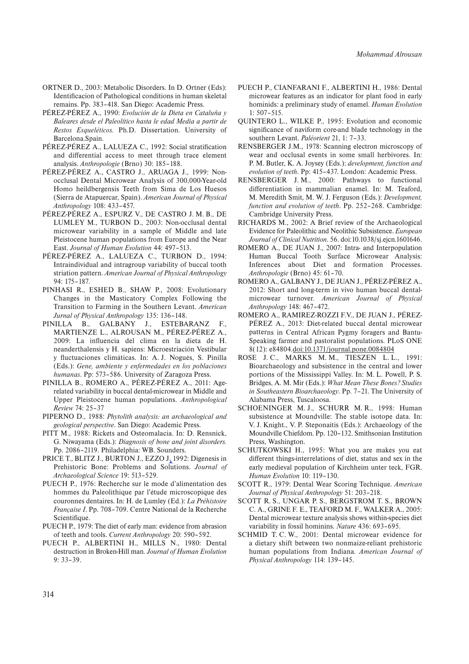- ORTNER D., 2003: Metabolic Disorders. In D. Ortner (Eds): Identificacion of Pathological conditions in human skeletal remains. Pp. 383-418. San Diego: Academic Press.
- PÉREZ-PÉREZ A., 1990: *Evolución de la Dieta en Cataluña y Baleares desde el Paleolítico hasta le edad Media a partir de Restos Esqueléticos.* Ph.D. Dissertation. University of Barcelona.Spain.
- PÉREZ-PÉREZ A., LALUEZA C., 1992: Social stratification and differential access to meet through trace element analysis. *Anthropologie* (Brno) 30: 185-188.
- PÉREZ-PÉREZ A., CASTRO J., ARUAGA J., 1999: Nonocclusal Dental Microwear Analysis of 300,000-Year-old Homo heildbergensis Teeth from Sima de Los Huesos (Sierra de Atapuercar, Spain). *American Journal of Physical Anthropology* 108: 433‒457.
- PÉREZ-PÉREZ A., ESPURZ V., DE CASTRO J. M. B., DE LUMLEY M., TURBON D., 2003: Non-occlusal dental microwear variability in a sample of Middle and late Pleistocene human populations from Europe and the Near East. *Journal of Human Evolution* 44: 497-513.
- PÉREZ-PÉREZ A., LALUEZA C., TURBON D., 1994: Intraindividual and intragroup variability of buccal tooth striation pattern. *American Journal of Physical Anthropology* 94: 175‒187.
- PINHASI R., ESHED B., SHAW P., 2008: Evolutionary Changes in the Masticatory Complex Following the Transition to Farming in the Southern Levant. *American* Jurnal of Physical Anthropology 135: 136-148.
- PINILLA B., GALBANY J., ESTEBARANZ F., MARTIENZE L., ALROUSAN M., PÉREZ-PÉREZ A., 2009: La influencia del clima en la dieta de H. neanderthalensis y H. sapiens: Microestriación Vestibular y fluctuaciones climáticas. In: A. J. Nogués, S. Pinilla (Eds.): *Gene, ambiente y enfermedades en los poblaciones humanas*. Pp: 573‒586. University of Zaragoza Press.
- PINILLA B., ROMERO A., PÉREZ-PÉREZ A., 2011: Agerelated variability in buccal dental-microwear in Middle and Upper Pleistocene human populations. *Anthropological Review* 74: 25‒37
- PIPERNO D., 1988: *Phytolith analysis: an archaeological and geological perspective*. San Diego: Academic Press.
- PITT M., 1988: Rickets and Osteomalacia. In: D. Rensnick, G. Niwayama (Eds.): *Diagnosis of bone and joint disorders.* Pp. 2086-2119. Philadelphia: WB. Sounders.
- PRICE T., BLITZ J., BURTON J., EZZO J. 1992: Digenesis in Prehistoric Bone: Problems and Solutions. *Journal of Archaeological Science* 19: 513‒529.
- PUECH P., 1976: Recherche sur le mode d'alimentation des hommes du Paleolithique par l'étude microscopique des couronnes dentaires. In: H. de Lumley (Ed.): *La Préhistoire Française I*. Pp. 708‒709. Centre National de la Recherche Scientifique.
- PUECH P., 1979: The diet of early man: evidence from abrasion of teeth and tools. *Current Anthropology* 20: 590-592.
- PUECH P., ALBERTINI H., MILLS N., 1980: Dental destruction in Broken-Hill man. *Journal of Human Evolution* 9: 33‒39.
- PUECH P., CIANFARANI F., ALBERTINI H., 1986: Dental microwear features as an indicator for plant food in early hominids: a preliminary study of enamel. *Human Evolution*  $1: 507 - 515.$
- QUINTERO L., WILKE P., 1995: Evolution and economic significance of naviform core-and blade technology in the southern Levant. *Paléorient* 21, 1: 7‒33.
- RENSBERGER J.M., 1978: Scanning electron microscopy of wear and occlusal events in some small herbivores. In: P. M. Butler, K. A. Joysey (Eds.): *development, function and evolution of teeth*. Pp: 415–437. London: Academic Press.
- RENSBERGER J. M., 2000: Pathways to functional differentiation in mammalian enamel. In: M. Teaford, M. Meredith Smit, M. W. J. Ferguson (Eds.): *Development, function and evolution of teeth.* Pp. 252-268. Cambridge: Cambridge University Press.
- RICHARDS M., 2002: A Brief review of the Archaeological Evidence for Paleolithic and Neolithic Subsistence. *European Journal of Clinical Nutrition*. 56. doi:10.1038/sj.ejcn.1601646.
- ROMERO A., DE JUAN J., 2007: Intra- and Interpopulation Human Buccal Tooth Surface Microwear Analysis: Inferences about Diet and formation Processes. *Anthropologie* (Brno) 45: 61‒70.
- ROMERO A., GALBANY J., DE JUAN J., PÉREZ-PÉREZ A., 2012: Short and long-term in vivo human buccal dentalmicrowear turnover*. American Journal of Physical Anthropology* 148: 467‒472.
- ROMERO A., RAMIREZ-ROZZI F.V., DE JUAN J., PÉREZ-PÉREZ A., 2013: Diet-related buccal dental microwear patterns in Central African Pygmy foragers and Bantu-Speaking farmer and pastoralist populations. PLoS ONE 8(12): e84804.doi:10.1371/journal.pone.0084804
- ROSE J. C., MARKS M. M., TIESZEN L. L., 1991: Bioarchaeology and subsistence in the central and lower portions of the Mississippi Valley. In: M. L. Powell, P. S. Bridges, A. M. Mir (Eds.): *What Mean These Bones? Studies in Southeastern Bioarchaeology*. Pp. 7–21. The University of Alabama Press, Tuscaloosa.
- SCHOENINGER M. J., SCHURR M. R., 1998: Human subsistence at Moundville: The stable isotope data. In: V. J. Knight., V. P. Steponaitis (Eds.): Archaeology of the Moundville Chiefdom. Pp. 120-132. Smithsonian Institution Press, Washington.
- SCHUTKOWSKI H., 1995: What you are makes you eat different things-interrelations of diet, status and sex in the early medieval population of Kirchheim unter teck, FGR. *Human Evolution* 10: 119–130.
- SCOTT R., 1979: Dental Wear Scoring Technique. *American* Journal of Physical Anthropology 51: 203-218.
- SCOTT R. S., UNGAR P. S., BERGSTROM T. S., BROWN C. A., GRINE F. E., TEAFORD M. F., WALKER A., 2005: Dental microwear texture analysis shows within-species diet variability in fossil hominins. *Nature* 436: 693–695.
- SCHMID T. C. W., 2001: Dental microwear evidence for a dietary shift between two nonmaize-reliant prehistoric human populations from Indiana. *American Journal of Physical Anthropology* 114: 139–145.